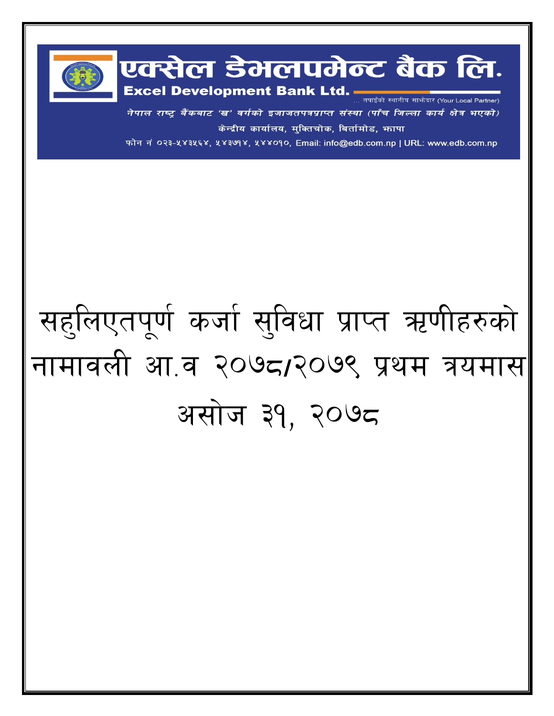

नेपाल राष्ट्र बैंकबाट 'ख' वर्गको इजाजतपत्रप्राप्त संस्था (पाँच जिल्ला कार्य क्षेत्र भएको) केन्द्रीय कार्यालय, मुक्तिचोक, बिर्तामोड, भापा

फोन नं ०२३-५४३५६४, ५४३७१४, ५४४०१०, Email: info@edb.com.np | URL: www.edb.com.np

## सहूलिएतपूर्ण कर्जा सुविधा प्राप्त ऋणीहरुको नामावली आ.व २०७८/२०७९ प्रथम त्रयमास असोज ३१, २०७८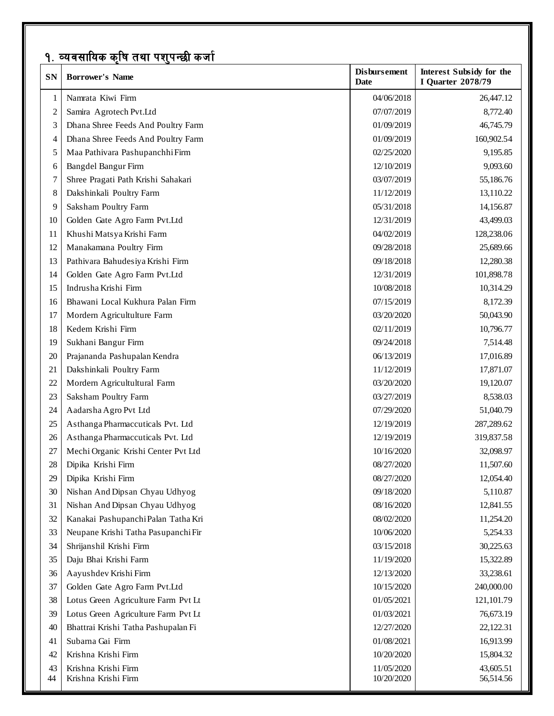## <u>१. व्यवसायिक कृषि तथा पशुपन्छी कर्जा</u>

| SN             | <b>Borrower's Name</b>              | <b>Disbursement</b><br><b>Date</b> | <b>Interest Subsidy for the</b><br><b>I Quarter 2078/79</b> |
|----------------|-------------------------------------|------------------------------------|-------------------------------------------------------------|
| 1              | Namrata Kiwi Firm                   | 04/06/2018                         | 26,447.12                                                   |
| $\overline{c}$ | Samira Agrotech Pvt.Ltd             | 07/07/2019                         | 8,772.40                                                    |
| 3              | Dhana Shree Feeds And Poultry Farm  | 01/09/2019                         | 46,745.79                                                   |
| 4              | Dhana Shree Feeds And Poultry Farm  | 01/09/2019                         | 160,902.54                                                  |
| 5              | Maa Pathivara Pashupanchhi Firm     | 02/25/2020                         | 9,195.85                                                    |
| 6              | Bangdel Bangur Firm                 | 12/10/2019                         | 9,093.60                                                    |
| 7              | Shree Pragati Path Krishi Sahakari  | 03/07/2019                         | 55,186.76                                                   |
| 8              | Dakshinkali Poultry Farm            | 11/12/2019                         | 13,110.22                                                   |
| 9              | Saksham Poultry Farm                | 05/31/2018                         | 14,156.87                                                   |
| 10             | Golden Gate Agro Farm Pvt.Ltd       | 12/31/2019                         | 43,499.03                                                   |
| 11             | Khushi Matsya Krishi Farm           | 04/02/2019                         | 128,238.06                                                  |
| 12             | Manakamana Poultry Firm             | 09/28/2018                         | 25,689.66                                                   |
| 13             | Pathivara Bahudesiya Krishi Firm    | 09/18/2018                         | 12,280.38                                                   |
| 14             | Golden Gate Agro Farm Pvt.Ltd       | 12/31/2019                         | 101,898.78                                                  |
| 15             | Indrusha Krishi Firm                | 10/08/2018                         | 10,314.29                                                   |
| 16             | Bhawani Local Kukhura Palan Firm    | 07/15/2019                         | 8,172.39                                                    |
| 17             | Mordern Agricultulture Farm         | 03/20/2020                         | 50,043.90                                                   |
| 18             | Kedem Krishi Firm                   | 02/11/2019                         | 10,796.77                                                   |
| 19             | Sukhani Bangur Firm                 | 09/24/2018                         | 7,514.48                                                    |
| 20             | Prajananda Pashupalan Kendra        | 06/13/2019                         | 17,016.89                                                   |
| 21             | Dakshinkali Poultry Farm            | 11/12/2019                         | 17,871.07                                                   |
| 22             | Mordern Agricultultural Farm        | 03/20/2020                         | 19,120.07                                                   |
| 23             | Saksham Poultry Farm                | 03/27/2019                         | 8,538.03                                                    |
| 24             | Aadarsha Agro Pvt Ltd               | 07/29/2020                         | 51,040.79                                                   |
| 25             | Asthanga Pharmaccuticals Pvt. Ltd   | 12/19/2019                         | 287,289.62                                                  |
| 26             | Asthanga Pharmaccuticals Pvt. Ltd   | 12/19/2019                         | 319,837.58                                                  |
| 27             | Mechi Organic Krishi Center Pvt Ltd | 10/16/2020                         | 32,098.97                                                   |
| 28             | Dipika Krishi Firm                  | 08/27/2020                         | 11,507.60                                                   |
| 29             | Dipika Krishi Firm                  | 08/27/2020                         | 12,054.40                                                   |
| 30             | Nishan And Dipsan Chyau Udhyog      | 09/18/2020                         | 5,110.87                                                    |
| 31             | Nishan And Dipsan Chyau Udhyog      | 08/16/2020                         | 12,841.55                                                   |
| 32             | Kanakai Pashupanchi Palan Tatha Kri | 08/02/2020                         | 11,254.20                                                   |
| 33             | Neupane Krishi Tatha Pasupanchi Fir | 10/06/2020                         | 5,254.33                                                    |
| 34             | Shrijanshil Krishi Firm             | 03/15/2018                         | 30,225.63                                                   |
| 35             | Daju Bhai Krishi Farm               | 11/19/2020                         | 15,322.89                                                   |
| 36             | Aayushdev Krishi Firm               | 12/13/2020                         | 33,238.61                                                   |
| 37             | Golden Gate Agro Farm Pvt.Ltd       | 10/15/2020                         | 240,000.00                                                  |
| 38             | Lotus Green Agriculture Farm Pvt Lt | 01/05/2021                         | 121,101.79                                                  |
| 39             | Lotus Green Agriculture Farm Pvt Lt | 01/03/2021                         | 76,673.19                                                   |
| 40             | Bhattrai Krishi Tatha Pashupalan Fi | 12/27/2020                         | 22,122.31                                                   |
| 41             | Subarna Gai Firm                    | 01/08/2021                         | 16,913.99                                                   |
| 42             | Krishna Krishi Firm                 | 10/20/2020                         | 15,804.32                                                   |
| 43             | Krishna Krishi Firm                 | 11/05/2020                         | 43,605.51                                                   |
| 44             | Krishna Krishi Firm                 | 10/20/2020                         | 56,514.56                                                   |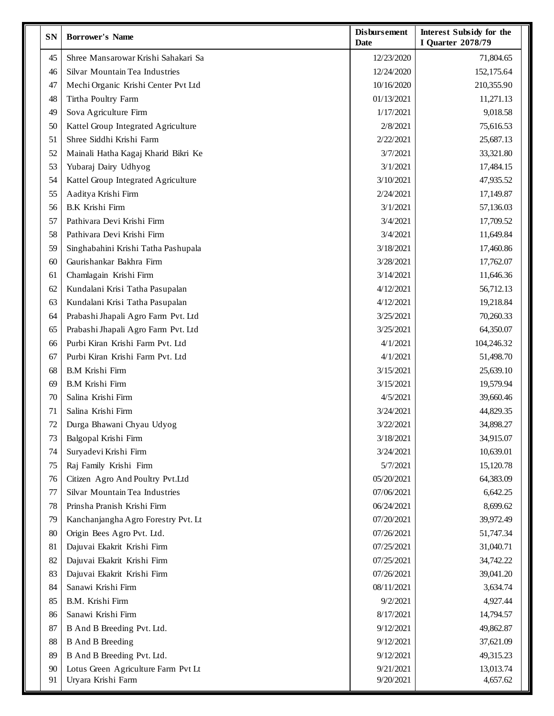| SN | <b>Borrower's Name</b>              | <b>Disbursement</b><br>Date | Interest Subsidy for the<br><b>I Quarter 2078/79</b> |
|----|-------------------------------------|-----------------------------|------------------------------------------------------|
| 45 | Shree Mansarowar Krishi Sahakari Sa | 12/23/2020                  | 71,804.65                                            |
| 46 | Silvar Mountain Tea Industries      | 12/24/2020                  | 152,175.64                                           |
| 47 | Mechi Organic Krishi Center Pvt Ltd | 10/16/2020                  | 210,355.90                                           |
| 48 | Tirtha Poultry Farm                 | 01/13/2021                  | 11,271.13                                            |
| 49 | Sova Agriculture Firm               | 1/17/2021                   | 9,018.58                                             |
| 50 | Kattel Group Integrated Agriculture | 2/8/2021                    | 75,616.53                                            |
| 51 | Shree Siddhi Krishi Farm            | 2/22/2021                   | 25,687.13                                            |
| 52 | Mainali Hatha Kagaj Kharid Bikri Ke | 3/7/2021                    | 33,321.80                                            |
| 53 | Yubaraj Dairy Udhyog                | 3/1/2021                    | 17,484.15                                            |
| 54 | Kattel Group Integrated Agriculture | 3/10/2021                   | 47,935.52                                            |
| 55 | Aaditya Krishi Firm                 | 2/24/2021                   | 17,149.87                                            |
| 56 | <b>B.K Krishi Firm</b>              | 3/1/2021                    | 57,136.03                                            |
| 57 | Pathivara Devi Krishi Firm          | 3/4/2021                    | 17,709.52                                            |
| 58 | Pathivara Devi Krishi Firm          | 3/4/2021                    | 11,649.84                                            |
| 59 | Singhabahini Krishi Tatha Pashupala | 3/18/2021                   | 17,460.86                                            |
| 60 | Gaurishankar Bakhra Firm            | 3/28/2021                   | 17,762.07                                            |
| 61 | Chamlagain Krishi Firm              | 3/14/2021                   | 11,646.36                                            |
| 62 | Kundalani Krisi Tatha Pasupalan     | 4/12/2021                   | 56,712.13                                            |
| 63 | Kundalani Krisi Tatha Pasupalan     | 4/12/2021                   | 19,218.84                                            |
| 64 | Prabashi Jhapali Agro Farm Pvt. Ltd | 3/25/2021                   | 70,260.33                                            |
| 65 | Prabashi Jhapali Agro Farm Pvt. Ltd | 3/25/2021                   | 64,350.07                                            |
| 66 | Purbi Kiran Krishi Farm Pvt. Ltd    | 4/1/2021                    | 104,246.32                                           |
| 67 | Purbi Kiran Krishi Farm Pvt. Ltd    | 4/1/2021                    | 51,498.70                                            |
| 68 | <b>B.M Krishi Firm</b>              | 3/15/2021                   | 25,639.10                                            |
| 69 | <b>B.M Krishi Firm</b>              | 3/15/2021                   | 19,579.94                                            |
| 70 | Salina Krishi Firm                  | 4/5/2021                    | 39,660.46                                            |
| 71 | Salina Krishi Firm                  | 3/24/2021                   | 44,829.35                                            |
| 72 | Durga Bhawani Chyau Udyog           | 3/22/2021                   | 34,898.27                                            |
| 73 | Balgopal Krishi Firm                | 3/18/2021                   | 34,915.07                                            |
| 74 | Suryadevi Krishi Firm               | 3/24/2021                   | 10,639.01                                            |
| 75 | Raj Family Krishi Firm              | 5/7/2021                    | 15,120.78                                            |
| 76 | Citizen Agro And Poultry Pvt.Ltd    | 05/20/2021                  | 64,383.09                                            |
| 77 | Silvar Mountain Tea Industries      | 07/06/2021                  | 6,642.25                                             |
| 78 | Prinsha Pranish Krishi Firm         | 06/24/2021                  | 8,699.62                                             |
| 79 | Kanchanjangha Agro Forestry Pvt. Lt | 07/20/2021                  | 39,972.49                                            |
| 80 | Origin Bees Agro Pvt. Ltd.          | 07/26/2021                  | 51,747.34                                            |
| 81 | Dajuvai Ekakrit Krishi Firm         | 07/25/2021                  | 31,040.71                                            |
| 82 | Dajuvai Ekakrit Krishi Firm         | 07/25/2021                  | 34,742.22                                            |
| 83 | Dajuvai Ekakrit Krishi Firm         | 07/26/2021                  | 39,041.20                                            |
| 84 | Sanawi Krishi Firm                  | 08/11/2021                  | 3,634.74                                             |
| 85 | B.M. Krishi Firm                    | 9/2/2021                    | 4,927.44                                             |
| 86 | Sanawi Krishi Firm                  | 8/17/2021                   | 14,794.57                                            |
| 87 | B And B Breeding Pvt. Ltd.          | 9/12/2021                   | 49,862.87                                            |
| 88 | <b>B</b> And <b>B</b> Breeding      | 9/12/2021                   | 37,621.09                                            |
| 89 | B And B Breeding Pvt. Ltd.          | 9/12/2021                   | 49,315.23                                            |
| 90 | Lotus Green Agriculture Farm Pvt Lt | 9/21/2021                   | 13,013.74                                            |
| 91 | Uryara Krishi Farm                  | 9/20/2021                   | 4,657.62                                             |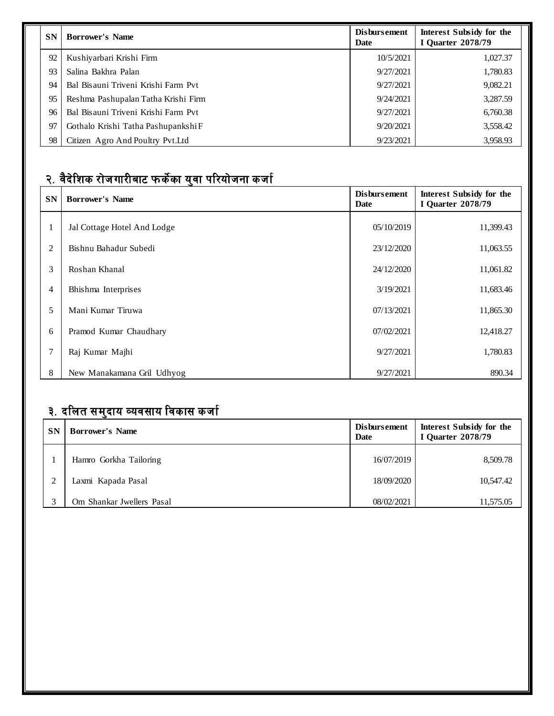| <b>SN</b> | <b>Borrower's Name</b>              | <b>Disbursement</b><br><b>Date</b> | Interest Subsidy for the<br><b>I</b> Quarter 2078/79 |
|-----------|-------------------------------------|------------------------------------|------------------------------------------------------|
| 92        | Kushiyarbari Krishi Firm            | 10/5/2021                          | 1,027.37                                             |
| 93        | Salina Bakhra Palan                 | 9/27/2021                          | 1,780.83                                             |
| 94        | Bal Bisauni Triveni Krishi Farm Pvt | 9/27/2021                          | 9,082.21                                             |
| 95        | Reshma Pashupalan Tatha Krishi Firm | 9/24/2021                          | 3,287.59                                             |
| 96        | Bal Bisauni Triveni Krishi Farm Pvt | 9/27/2021                          | 6,760.38                                             |
| 97        | Gothalo Krishi Tatha Pashupankshi F | 9/20/2021                          | 3,558.42                                             |
| 98        | Citizen Agro And Poultry Pyt. Ltd   | 9/23/2021                          | 3,958.93                                             |

## <u>२. वैदेशिक रोजगारीबाट फर्केका युवा परियोजना कर्जा</u>

| SN             | <b>Borrower's Name</b>      | <b>Disbursement</b><br><b>Date</b> | <b>Interest Subsidy for the</b><br><b>I Quarter 2078/79</b> |
|----------------|-----------------------------|------------------------------------|-------------------------------------------------------------|
|                | Jal Cottage Hotel And Lodge | 05/10/2019                         | 11,399.43                                                   |
| 2              | Bishnu Bahadur Subedi       | 23/12/2020                         | 11,063.55                                                   |
| 3              | Roshan Khanal               | 24/12/2020                         | 11,061.82                                                   |
| $\overline{4}$ | Bhishma Interprises         | 3/19/2021                          | 11,683.46                                                   |
| 5              | Mani Kumar Tiruwa           | 07/13/2021                         | 11,865.30                                                   |
| 6              | Pramod Kumar Chaudhary      | 07/02/2021                         | 12,418.27                                                   |
| 7              | Raj Kumar Majhi             | 9/27/2021                          | 1,780.83                                                    |
| 8              | New Manakamana Gril Udhyog  | 9/27/2021                          | 890.34                                                      |

## <u>३. दलित समुदाय व्यवसाय विकास कर्जा</u>

| <b>SN</b> | <b>Borrower's Name</b>    | <b>Disbursement</b><br>Date | Interest Subsidy for the<br><b>I Quarter 2078/79</b> |
|-----------|---------------------------|-----------------------------|------------------------------------------------------|
|           | Hamro Gorkha Tailoring    | 16/07/2019                  | 8,509.78                                             |
|           | Laxmi Kapada Pasal        | 18/09/2020                  | 10,547.42                                            |
|           | Om Shankar Jwellers Pasal | 08/02/2021                  | 11,575.05                                            |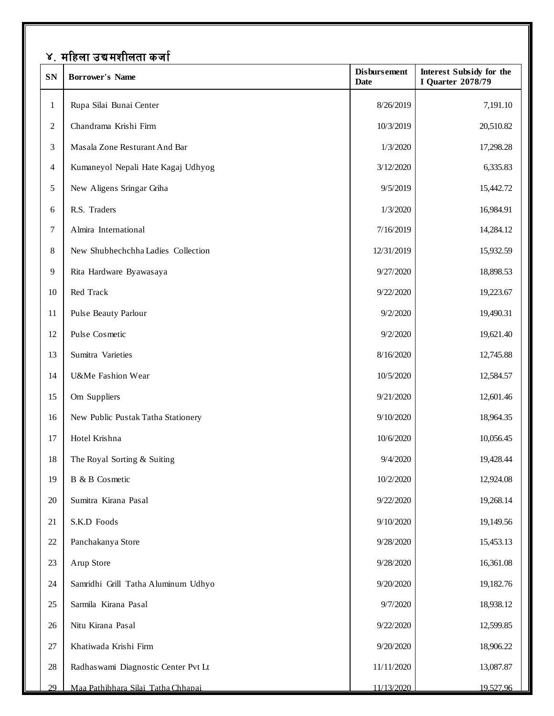|              | ४. महिला उद्यमशीलता कर्जा            |                                    |                                                      |  |  |
|--------------|--------------------------------------|------------------------------------|------------------------------------------------------|--|--|
| ${\bf SN}$   | <b>Borrower's Name</b>               | <b>Disbursement</b><br><b>Date</b> | Interest Subsidy for the<br><b>I Quarter 2078/79</b> |  |  |
| $\mathbf{1}$ | Rupa Silai Bunai Center              | 8/26/2019                          | 7,191.10                                             |  |  |
| $\sqrt{2}$   | Chandrama Krishi Firm                | 10/3/2019                          | 20,510.82                                            |  |  |
| 3            | Masala Zone Resturant And Bar        | 1/3/2020                           | 17,298.28                                            |  |  |
| 4            | Kumaneyol Nepali Hate Kagaj Udhyog   | 3/12/2020                          | 6,335.83                                             |  |  |
| 5            | New Aligens Sringar Griha            | 9/5/2019                           | 15,442.72                                            |  |  |
| 6            | R.S. Traders                         | 1/3/2020                           | 16,984.91                                            |  |  |
| 7            | Almira International                 | 7/16/2019                          | 14,284.12                                            |  |  |
| $8\,$        | New Shubhechchha Ladies Collection   | 12/31/2019                         | 15,932.59                                            |  |  |
| 9            | Rita Hardware Byawasaya              | 9/27/2020                          | 18,898.53                                            |  |  |
| 10           | Red Track                            | 9/22/2020                          | 19,223.67                                            |  |  |
| 11           | Pulse Beauty Parlour                 | 9/2/2020                           | 19,490.31                                            |  |  |
| 12           | Pulse Cosmetic                       | 9/2/2020                           | 19,621.40                                            |  |  |
| 13           | Sumitra Varieties                    | 8/16/2020                          | 12,745.88                                            |  |  |
| 14           | U&Me Fashion Wear                    | 10/5/2020                          | 12,584.57                                            |  |  |
| 15           | Om Suppliers                         | 9/21/2020                          | 12,601.46                                            |  |  |
| 16           | New Public Pustak Tatha Stationery   | 9/10/2020                          | 18,964.35                                            |  |  |
| 17           | Hotel Krishna                        | 10/6/2020                          | 10,056.45                                            |  |  |
| 18           | The Royal Sorting & Suiting          | 9/4/2020                           | 19,428.44                                            |  |  |
| 19           | B & B Cosmetic                       | 10/2/2020                          | 12,924.08                                            |  |  |
| $20\,$       | Sumitra Kirana Pasal                 | 9/22/2020                          | 19,268.14                                            |  |  |
| 21           | S.K.D Foods                          | 9/10/2020                          | 19,149.56                                            |  |  |
| 22           | Panchakanya Store                    | 9/28/2020                          | 15,453.13                                            |  |  |
| 23           | Arup Store                           | 9/28/2020                          | 16,361.08                                            |  |  |
| $24\,$       | Samridhi Grill Tatha Aluminum Udhyo  | 9/20/2020                          | 19,182.76                                            |  |  |
| 25           | Sarmila Kirana Pasal                 | 9/7/2020                           | 18,938.12                                            |  |  |
| $26\,$       | Nitu Kirana Pasal                    | 9/22/2020                          | 12,599.85                                            |  |  |
| 27           | Khatiwada Krishi Firm                | 9/20/2020                          | 18,906.22                                            |  |  |
| 28           | Radhas wami Diagnostic Center Pvt Lt | 11/11/2020                         | 13,087.87                                            |  |  |
| 29           | Maa Pathibhara Silai Tatha Chhapai   | 11/13/2020                         | 19.527.96                                            |  |  |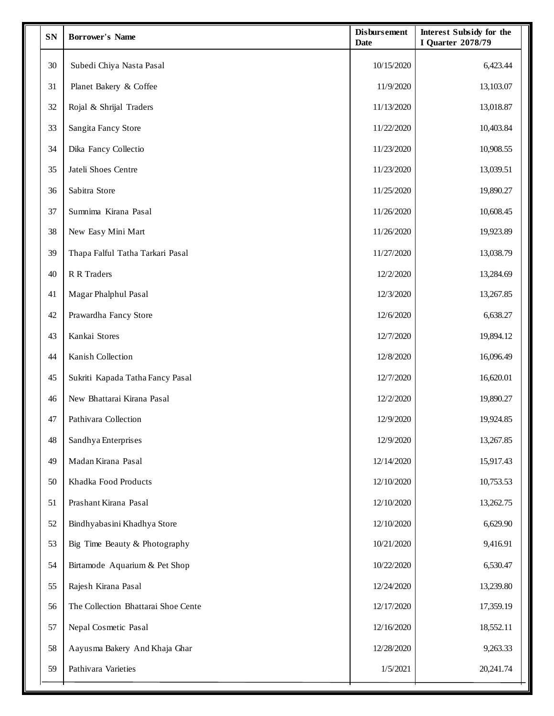| SN | <b>Borrower's Name</b>              | <b>Disbursement</b><br><b>Date</b> | Interest Subsidy for the<br><b>I Quarter 2078/79</b> |
|----|-------------------------------------|------------------------------------|------------------------------------------------------|
| 30 | Subedi Chiya Nasta Pasal            | 10/15/2020                         | 6,423.44                                             |
| 31 | Planet Bakery & Coffee              | 11/9/2020                          | 13,103.07                                            |
| 32 | Rojal & Shrijal Traders             | 11/13/2020                         | 13,018.87                                            |
| 33 | Sangita Fancy Store                 | 11/22/2020                         | 10,403.84                                            |
| 34 | Dika Fancy Collectio                | 11/23/2020                         | 10,908.55                                            |
| 35 | Jateli Shoes Centre                 | 11/23/2020                         | 13,039.51                                            |
| 36 | Sabitra Store                       | 11/25/2020                         | 19,890.27                                            |
| 37 | Sumnima Kirana Pasal                | 11/26/2020                         | 10,608.45                                            |
| 38 | New Easy Mini Mart                  | 11/26/2020                         | 19,923.89                                            |
| 39 | Thapa Falful Tatha Tarkari Pasal    | 11/27/2020                         | 13,038.79                                            |
| 40 | R R Traders                         | 12/2/2020                          | 13,284.69                                            |
| 41 | Magar Phalphul Pasal                | 12/3/2020                          | 13,267.85                                            |
| 42 | Prawardha Fancy Store               | 12/6/2020                          | 6,638.27                                             |
| 43 | Kankai Stores                       | 12/7/2020                          | 19,894.12                                            |
| 44 | Kanish Collection                   | 12/8/2020                          | 16,096.49                                            |
| 45 | Sukriti Kapada Tatha Fancy Pasal    | 12/7/2020                          | 16,620.01                                            |
| 46 | New Bhattarai Kirana Pasal          | 12/2/2020                          | 19,890.27                                            |
| 47 | Pathivara Collection                | 12/9/2020                          | 19,924.85                                            |
| 48 | Sandhya Enterprises                 | 12/9/2020                          | 13,267.85                                            |
| 49 | Madan Kirana Pasal                  | 12/14/2020                         | 15,917.43                                            |
| 50 | Khadka Food Products                | 12/10/2020                         | 10,753.53                                            |
| 51 | Prashant Kirana Pasal               | 12/10/2020                         | 13,262.75                                            |
| 52 | Bindhyabasini Khadhya Store         | 12/10/2020                         | 6,629.90                                             |
| 53 | Big Time Beauty & Photography       | 10/21/2020                         | 9,416.91                                             |
| 54 | Birtamode Aquarium & Pet Shop       | 10/22/2020                         | 6,530.47                                             |
| 55 | Rajesh Kirana Pasal                 | 12/24/2020                         | 13,239.80                                            |
| 56 | The Collection Bhattarai Shoe Cente | 12/17/2020                         | 17,359.19                                            |
| 57 | Nepal Cosmetic Pasal                | 12/16/2020                         | 18,552.11                                            |
| 58 | Aayusma Bakery And Khaja Ghar       | 12/28/2020                         | 9,263.33                                             |
| 59 | Pathivara Varieties                 | 1/5/2021                           | 20,241.74                                            |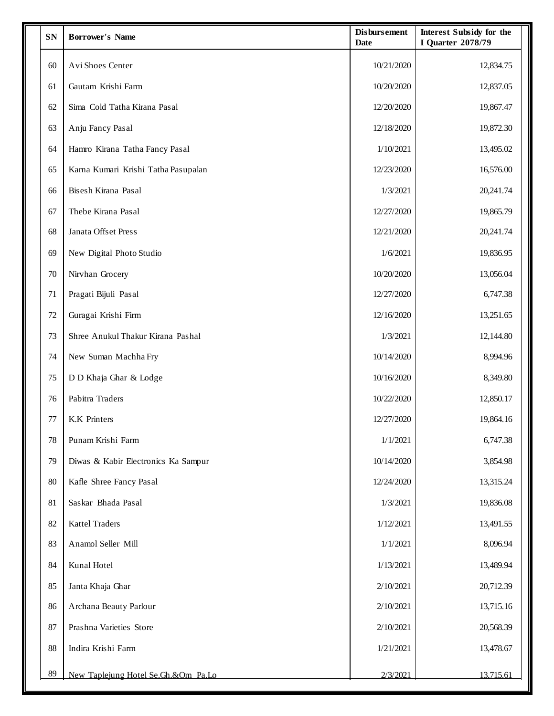| <b>SN</b> | <b>Borrower's Name</b>              | <b>Disbursement</b><br><b>Date</b> | <b>Interest Subsidy for the</b><br><b>I Quarter 2078/79</b> |
|-----------|-------------------------------------|------------------------------------|-------------------------------------------------------------|
| 60        | Avi Shoes Center                    | 10/21/2020                         | 12,834.75                                                   |
| 61        | Gautam Krishi Farm                  | 10/20/2020                         | 12,837.05                                                   |
| 62        | Sima Cold Tatha Kirana Pasal        | 12/20/2020                         | 19,867.47                                                   |
| 63        | Anju Fancy Pasal                    | 12/18/2020                         | 19,872.30                                                   |
| 64        | Hamro Kirana Tatha Fancy Pasal      | 1/10/2021                          | 13,495.02                                                   |
| 65        | Karna Kumari Krishi Tatha Pasupalan | 12/23/2020                         | 16,576.00                                                   |
| 66        | Bisesh Kirana Pasal                 | 1/3/2021                           | 20,241.74                                                   |
| 67        | Thebe Kirana Pasal                  | 12/27/2020                         | 19,865.79                                                   |
| 68        | Janata Offset Press                 | 12/21/2020                         | 20,241.74                                                   |
| 69        | New Digital Photo Studio            | 1/6/2021                           | 19,836.95                                                   |
| 70        | Nirvhan Grocery                     | 10/20/2020                         | 13,056.04                                                   |
| 71        | Pragati Bijuli Pasal                | 12/27/2020                         | 6,747.38                                                    |
| 72        | Guragai Krishi Firm                 | 12/16/2020                         | 13,251.65                                                   |
| 73        | Shree Anukul Thakur Kirana Pashal   | 1/3/2021                           | 12,144.80                                                   |
| 74        | New Suman Machha Fry                | 10/14/2020                         | 8,994.96                                                    |
| 75        | D D Khaja Ghar & Lodge              | 10/16/2020                         | 8,349.80                                                    |
| 76        | Pabitra Traders                     | 10/22/2020                         | 12,850.17                                                   |
| 77        | K.K Printers                        | 12/27/2020                         | 19,864.16                                                   |
| 78        | Punam Krishi Farm                   | 1/1/2021                           | 6,747.38                                                    |
| 79        | Diwas & Kabir Electronics Ka Sampur | 10/14/2020                         | 3,854.98                                                    |
| 80        | Kafle Shree Fancy Pasal             | 12/24/2020                         | 13,315.24                                                   |
| 81        | Saskar Bhada Pasal                  | 1/3/2021                           | 19,836.08                                                   |
| 82        | <b>Kattel Traders</b>               | 1/12/2021                          | 13,491.55                                                   |
| 83        | Anamol Seller Mill                  | 1/1/2021                           | 8,096.94                                                    |
| 84        | Kunal Hotel                         | 1/13/2021                          | 13,489.94                                                   |
| 85        | Janta Khaja Ghar                    | 2/10/2021                          | 20,712.39                                                   |
| 86        | Archana Beauty Parlour              | 2/10/2021                          | 13,715.16                                                   |
| 87        | Prashna Varieties Store             | 2/10/2021                          | 20,568.39                                                   |
| 88        | Indira Krishi Farm                  | 1/21/2021                          | 13,478.67                                                   |
| 89        | New Taplejung Hotel Se.Gh.&Om Pa.Lo | 2/3/2021                           | 13,715.61                                                   |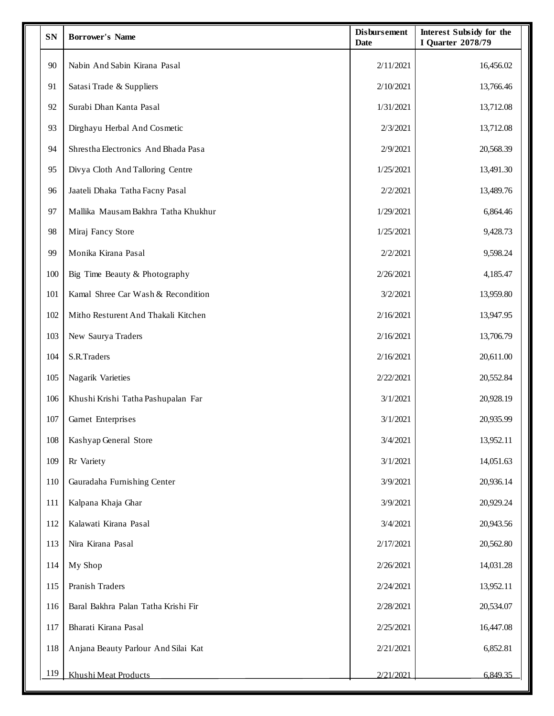| <b>SN</b> | <b>Borrower's Name</b>              | <b>Disbursement</b><br><b>Date</b> | <b>Interest Subsidy for the</b><br><b>I Quarter 2078/79</b> |
|-----------|-------------------------------------|------------------------------------|-------------------------------------------------------------|
| 90        | Nabin And Sabin Kirana Pasal        | 2/11/2021                          | 16,456.02                                                   |
| 91        | Satasi Trade & Suppliers            | 2/10/2021                          | 13,766.46                                                   |
| 92        | Surabi Dhan Kanta Pasal             | 1/31/2021                          | 13,712.08                                                   |
| 93        | Dirghayu Herbal And Cosmetic        | 2/3/2021                           | 13,712.08                                                   |
| 94        | Shrestha Electronics And Bhada Pasa | 2/9/2021                           | 20,568.39                                                   |
| 95        | Divya Cloth And Talloring Centre    | 1/25/2021                          | 13,491.30                                                   |
| 96        | Jaateli Dhaka Tatha Facny Pasal     | 2/2/2021                           | 13,489.76                                                   |
| 97        | Mallika Mausam Bakhra Tatha Khukhur | 1/29/2021                          | 6,864.46                                                    |
| 98        | Miraj Fancy Store                   | 1/25/2021                          | 9,428.73                                                    |
| 99        | Monika Kirana Pasal                 | 2/2/2021                           | 9,598.24                                                    |
| 100       | Big Time Beauty & Photography       | 2/26/2021                          | 4,185.47                                                    |
| 101       | Kamal Shree Car Wash & Recondition  | 3/2/2021                           | 13,959.80                                                   |
| 102       | Mitho Resturent And Thakali Kitchen | 2/16/2021                          | 13,947.95                                                   |
| 103       | New Saurya Traders                  | 2/16/2021                          | 13,706.79                                                   |
| 104       | S.R.Traders                         | 2/16/2021                          | 20,611.00                                                   |
| 105       | Nagarik Varieties                   | 2/22/2021                          | 20,552.84                                                   |
| 106       | Khushi Krishi Tatha Pashupalan Far  | 3/1/2021                           | 20,928.19                                                   |
| 107       | Garnet Enterprises                  | 3/1/2021                           | 20,935.99                                                   |
| 108       | Kashyap General Store               | 3/4/2021                           | 13,952.11                                                   |
| 109       | Rr Variety                          | 3/1/2021                           | 14,051.63                                                   |
| 110       | Gauradaha Furnishing Center         | 3/9/2021                           | 20,936.14                                                   |
| 111       | Kalpana Khaja Ghar                  | 3/9/2021                           | 20,929.24                                                   |
| 112       | Kalawati Kirana Pasal               | 3/4/2021                           | 20,943.56                                                   |
| 113       | Nira Kirana Pasal                   | 2/17/2021                          | 20,562.80                                                   |
| 114       | My Shop                             | 2/26/2021                          | 14,031.28                                                   |
| 115       | Pranish Traders                     | 2/24/2021                          | 13,952.11                                                   |
| 116       | Baral Bakhra Palan Tatha Krishi Fir | 2/28/2021                          | 20,534.07                                                   |
| 117       | Bharati Kirana Pasal                | 2/25/2021                          | 16,447.08                                                   |
| 118       | Anjana Beauty Parlour And Silai Kat | 2/21/2021                          | 6,852.81                                                    |
| 119       | Khushi Meat Products                | 2/21/2021                          | 6,849.35                                                    |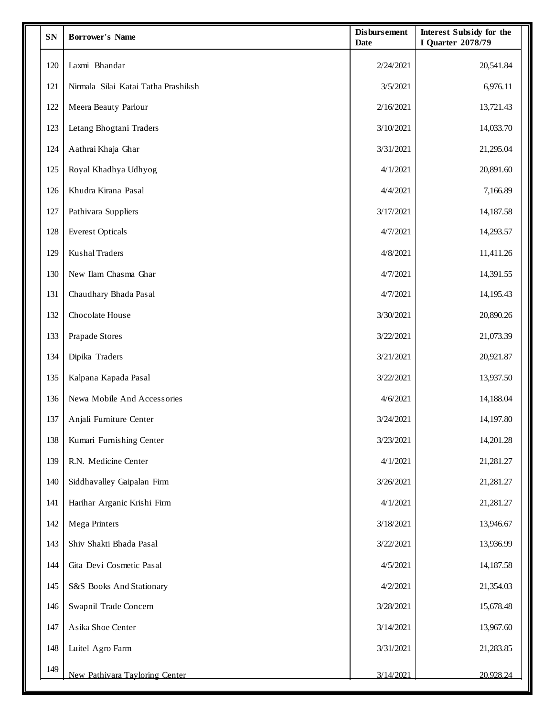| <b>SN</b> | <b>Borrower's Name</b>              | <b>Disbursement</b><br><b>Date</b> | <b>Interest Subsidy for the</b><br><b>I Quarter 2078/79</b> |
|-----------|-------------------------------------|------------------------------------|-------------------------------------------------------------|
| 120       | Laxmi Bhandar                       | 2/24/2021                          | 20,541.84                                                   |
| 121       | Nirmala Silai Katai Tatha Prashiksh | 3/5/2021                           | 6,976.11                                                    |
| 122       | Meera Beauty Parlour                | 2/16/2021                          | 13,721.43                                                   |
| 123       | Letang Bhogtani Traders             | 3/10/2021                          | 14,033.70                                                   |
| 124       | Aathrai Khaja Ghar                  | 3/31/2021                          | 21,295.04                                                   |
| 125       | Royal Khadhya Udhyog                | 4/1/2021                           | 20,891.60                                                   |
| 126       | Khudra Kirana Pasal                 | 4/4/2021                           | 7,166.89                                                    |
| 127       | Pathivara Suppliers                 | 3/17/2021                          | 14,187.58                                                   |
| 128       | <b>Everest Opticals</b>             | 4/7/2021                           | 14,293.57                                                   |
| 129       | <b>Kushal Traders</b>               | 4/8/2021                           | 11,411.26                                                   |
| 130       | New Ilam Chasma Ghar                | 4/7/2021                           | 14,391.55                                                   |
| 131       | Chaudhary Bhada Pasal               | 4/7/2021                           | 14,195.43                                                   |
| 132       | Chocolate House                     | 3/30/2021                          | 20,890.26                                                   |
| 133       | Prapade Stores                      | 3/22/2021                          | 21,073.39                                                   |
| 134       | Dipika Traders                      | 3/21/2021                          | 20,921.87                                                   |
| 135       | Kalpana Kapada Pasal                | 3/22/2021                          | 13,937.50                                                   |
| 136       | Newa Mobile And Accessories         | 4/6/2021                           | 14,188.04                                                   |
| 137       | Anjali Furniture Center             | 3/24/2021                          | 14,197.80                                                   |
| 138       | Kumari Furnishing Center            | 3/23/2021                          | 14,201.28                                                   |
| 139       | R.N. Medicine Center                | 4/1/2021                           | 21,281.27                                                   |
| 140       | Siddhavalley Gaipalan Firm          | 3/26/2021                          | 21,281.27                                                   |
| 141       | Harihar Arganic Krishi Firm         | 4/1/2021                           | 21,281.27                                                   |
| 142       | Mega Printers                       | 3/18/2021                          | 13,946.67                                                   |
| 143       | Shiv Shakti Bhada Pasal             | 3/22/2021                          | 13,936.99                                                   |
| 144       | Gita Devi Cosmetic Pasal            | 4/5/2021                           | 14,187.58                                                   |
| 145       | S&S Books And Stationary            | 4/2/2021                           | 21,354.03                                                   |
| 146       | Swapnil Trade Concern               | 3/28/2021                          | 15,678.48                                                   |
| 147       | Asika Shoe Center                   | 3/14/2021                          | 13,967.60                                                   |
| 148       | Luitel Agro Farm                    | 3/31/2021                          | 21,283.85                                                   |
| 149       | New Pathivara Tayloring Center      | 3/14/2021                          | 20.928.24                                                   |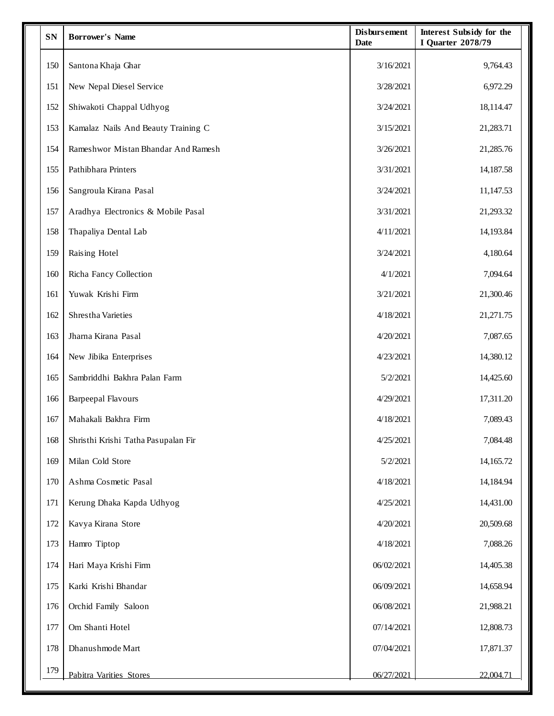| <b>SN</b> | <b>Borrower's Name</b>              | <b>Disbursement</b><br><b>Date</b> | Interest Subsidy for the<br>I Quarter 2078/79 |
|-----------|-------------------------------------|------------------------------------|-----------------------------------------------|
| 150       | Santona Khaja Ghar                  | 3/16/2021                          | 9,764.43                                      |
| 151       | New Nepal Diesel Service            | 3/28/2021                          | 6,972.29                                      |
| 152       | Shiwakoti Chappal Udhyog            | 3/24/2021                          | 18,114.47                                     |
| 153       | Kamalaz Nails And Beauty Training C | 3/15/2021                          | 21,283.71                                     |
| 154       | Rameshwor Mistan Bhandar And Ramesh | 3/26/2021                          | 21,285.76                                     |
| 155       | Pathibhara Printers                 | 3/31/2021                          | 14,187.58                                     |
| 156       | Sangroula Kirana Pasal              | 3/24/2021                          | 11,147.53                                     |
| 157       | Aradhya Electronics & Mobile Pasal  | 3/31/2021                          | 21,293.32                                     |
| 158       | Thapaliya Dental Lab                | 4/11/2021                          | 14,193.84                                     |
| 159       | Raising Hotel                       | 3/24/2021                          | 4,180.64                                      |
| 160       | Richa Fancy Collection              | 4/1/2021                           | 7,094.64                                      |
| 161       | Yuwak Krishi Firm                   | 3/21/2021                          | 21,300.46                                     |
| 162       | Shrestha Varieties                  | 4/18/2021                          | 21,271.75                                     |
| 163       | Jharna Kirana Pasal                 | 4/20/2021                          | 7,087.65                                      |
| 164       | New Jibika Enterprises              | 4/23/2021                          | 14,380.12                                     |
| 165       | Sambriddhi Bakhra Palan Farm        | 5/2/2021                           | 14,425.60                                     |
| 166       | <b>Barpeepal Flavours</b>           | 4/29/2021                          | 17,311.20                                     |
| 167       | Mahakali Bakhra Firm                | 4/18/2021                          | 7,089.43                                      |
| 168       | Shristhi Krishi Tatha Pasupalan Fir | 4/25/2021                          | 7,084.48                                      |
| 169       | Milan Cold Store                    | 5/2/2021                           | 14,165.72                                     |
| 170       | Ashma Cosmetic Pasal                | 4/18/2021                          | 14,184.94                                     |
| 171       | Kerung Dhaka Kapda Udhyog           | 4/25/2021                          | 14,431.00                                     |
| 172       | Kavya Kirana Store                  | 4/20/2021                          | 20,509.68                                     |
| 173       | Hamro Tiptop                        | 4/18/2021                          | 7,088.26                                      |
| 174       | Hari Maya Krishi Firm               | 06/02/2021                         | 14,405.38                                     |
| 175       | Karki Krishi Bhandar                | 06/09/2021                         | 14,658.94                                     |
| 176       | Orchid Family Saloon                | 06/08/2021                         | 21,988.21                                     |
| 177       | Om Shanti Hotel                     | 07/14/2021                         | 12,808.73                                     |
| 178       | Dhanushmode Mart                    | 07/04/2021                         | 17,871.37                                     |
| 179       | Pabitra Varities Stores             | 06/27/2021                         | 22,004.71                                     |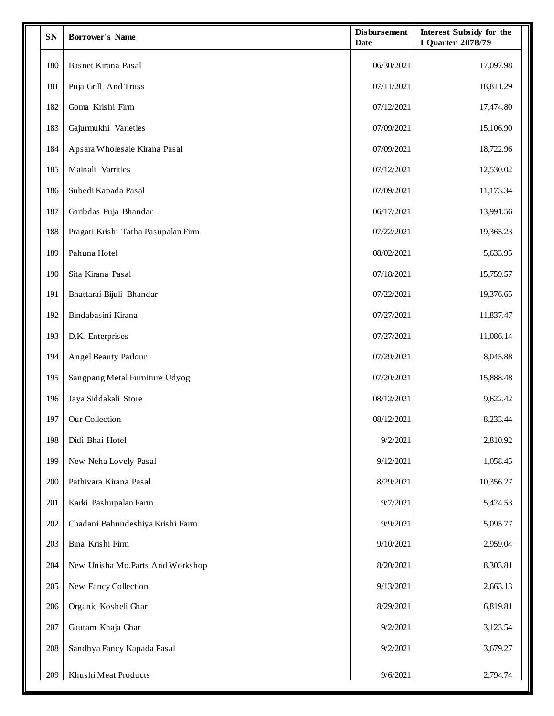| <b>SN</b> | <b>Borrower's Name</b>              | <b>Disbursement</b><br><b>Date</b> | <b>Interest Subsidy for the</b><br>I Quarter 2078/79 |
|-----------|-------------------------------------|------------------------------------|------------------------------------------------------|
| 180       | Basnet Kirana Pasal                 | 06/30/2021                         | 17,097.98                                            |
| 181       | Puja Grill And Truss                | 07/11/2021                         | 18,811.29                                            |
| 182       | Goma Krishi Firm                    | 07/12/2021                         | 17,474.80                                            |
| 183       | Gajurmukhi Varieties                | 07/09/2021                         | 15,106.90                                            |
| 184       | Apsara Wholesale Kirana Pasal       | 07/09/2021                         | 18,722.96                                            |
| 185       | Mainali Varrities                   | 07/12/2021                         | 12,530.02                                            |
| 186       | Subedi Kapada Pasal                 | 07/09/2021                         | 11,173.34                                            |
| 187       | Garibdas Puja Bhandar               | 06/17/2021                         | 13,991.56                                            |
| 188       | Pragati Krishi Tatha Pasupalan Firm | 07/22/2021                         | 19,365.23                                            |
| 189       | Pahuna Hotel                        | 08/02/2021                         | 5,633.95                                             |
| 190       | Sita Kirana Pasal                   | 07/18/2021                         | 15,759.57                                            |
| 191       | Bhattarai Bijuli Bhandar            | 07/22/2021                         | 19,376.65                                            |
| 192       | Bindabasini Kirana                  | 07/27/2021                         | 11,837.47                                            |
| 193       | D.K. Enterprises                    | 07/27/2021                         | 11,086.14                                            |
| 194       | <b>Angel Beauty Parlour</b>         | 07/29/2021                         | 8,045.88                                             |
| 195       | Sangpang Metal Furniture Udyog      | 07/20/2021                         | 15,888.48                                            |
| 196       | Jaya Siddakali Store                | 08/12/2021                         | 9,622.42                                             |
| 197       | Our Collection                      | 08/12/2021                         | 8,233.44                                             |
| 198       | Didi Bhai Hotel                     | 9/2/2021                           | 2,810.92                                             |
| 199       | New Neha Lovely Pasal               | 9/12/2021                          | 1,058.45                                             |
| 200       | Pathivara Kirana Pasal              | 8/29/2021                          | 10,356.27                                            |
| 201       | Karki Pashupalan Farm               | 9/7/2021                           | 5,424.53                                             |
| 202       | Chadani Bahuudeshiya Krishi Farm    | 9/9/2021                           | 5,095.77                                             |
| 203       | Bina Krishi Firm                    | 9/10/2021                          | 2,959.04                                             |
| 204       | New Unisha Mo.Parts And Workshop    | 8/20/2021                          | 8,303.81                                             |
| 205       | New Fancy Collection                | 9/13/2021                          | 2,663.13                                             |
| 206       | Organic Kosheli Ghar                | 8/29/2021                          | 6,819.81                                             |
| 207       | Gautam Khaja Ghar                   | 9/2/2021                           | 3,123.54                                             |
| 208       | Sandhya Fancy Kapada Pasal          | 9/2/2021                           | 3,679.27                                             |
| 209       | Khushi Meat Products                | 9/6/2021                           | 2,794.74                                             |